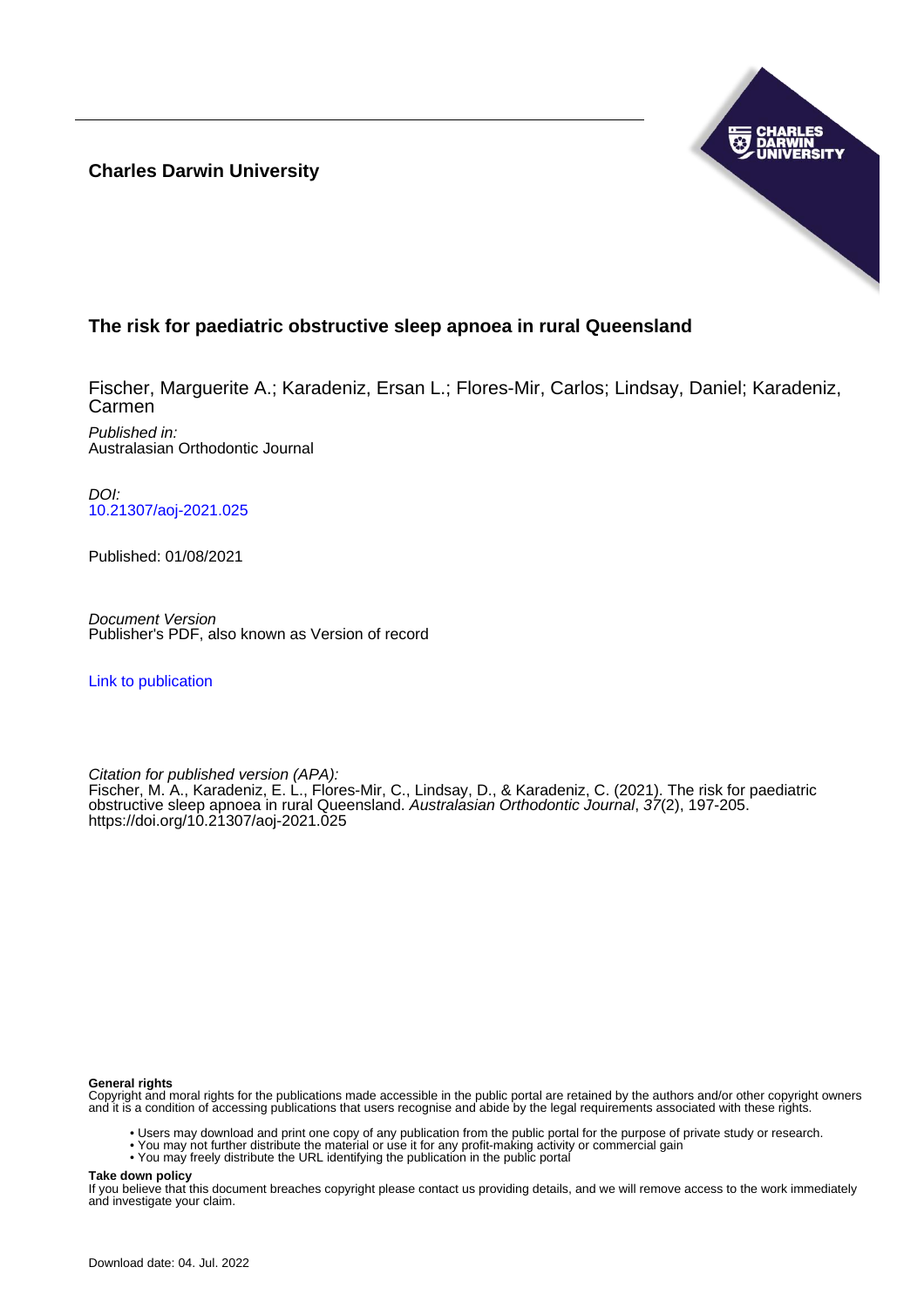**Charles Darwin University**



# **The risk for paediatric obstructive sleep apnoea in rural Queensland**

Fischer, Marguerite A.; Karadeniz, Ersan L.; Flores-Mir, Carlos; Lindsay, Daniel; Karadeniz, Carmen

Published in: Australasian Orthodontic Journal

DOI: [10.21307/aoj-2021.025](https://doi.org/10.21307/aoj-2021.025)

Published: 01/08/2021

Document Version Publisher's PDF, also known as Version of record

[Link to publication](https://researchers.cdu.edu.au/en/publications/6e9268f7-02c1-44bc-9ee3-26542cb2c573)

Citation for published version (APA): Fischer, M. A., Karadeniz, E. L., Flores-Mir, C., Lindsay, D., & Karadeniz, C. (2021). The risk for paediatric obstructive sleep apnoea in rural Queensland. Australasian Orthodontic Journal, 37(2), 197-205. <https://doi.org/10.21307/aoj-2021.025>

#### **General rights**

Copyright and moral rights for the publications made accessible in the public portal are retained by the authors and/or other copyright owners and it is a condition of accessing publications that users recognise and abide by the legal requirements associated with these rights.

- Users may download and print one copy of any publication from the public portal for the purpose of private study or research.
- You may not further distribute the material or use it for any profit-making activity or commercial gain
- You may freely distribute the URL identifying the publication in the public portal

**Take down policy**

If you believe that this document breaches copyright please contact us providing details, and we will remove access to the work immediately and investigate your claim.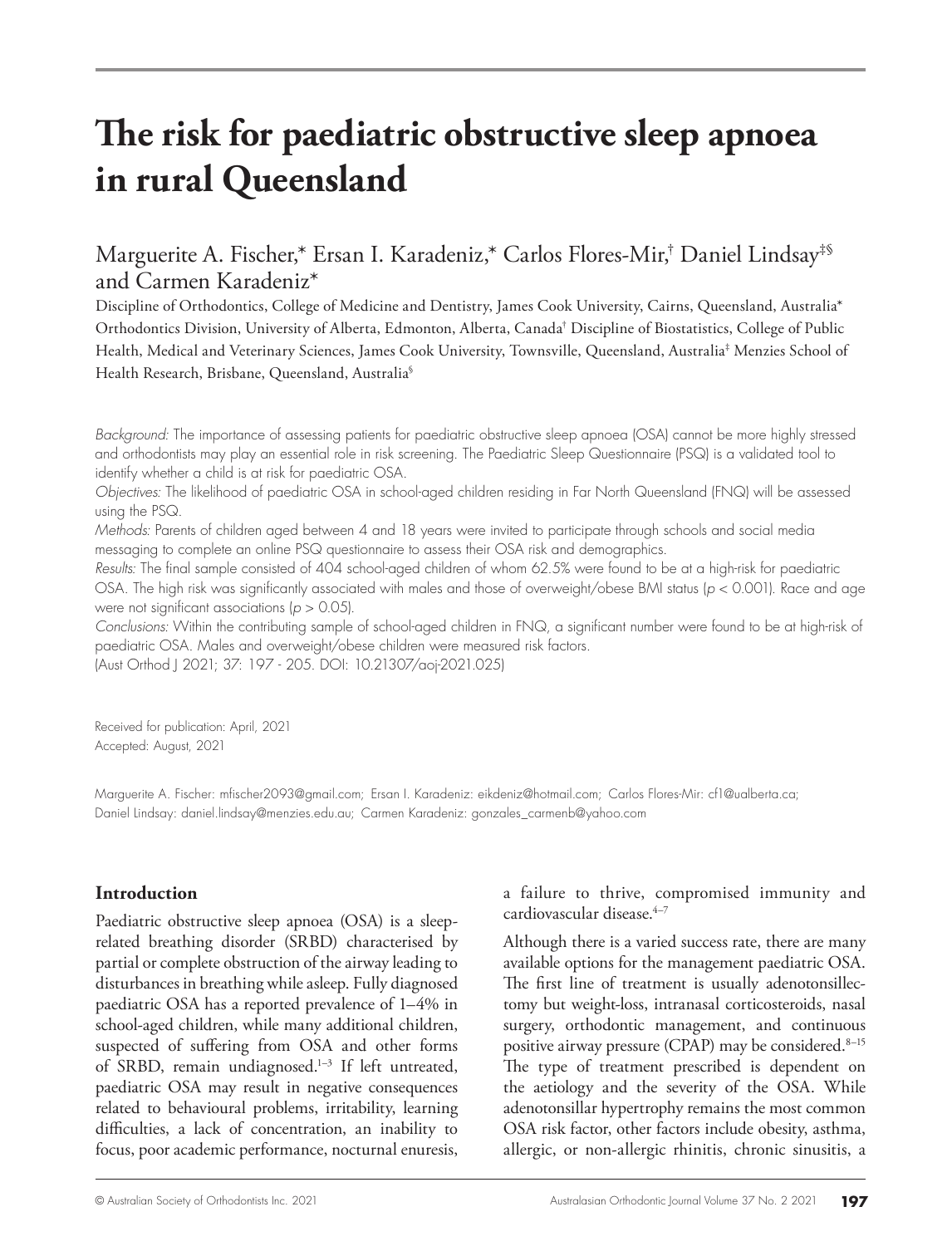# **The risk for paediatric obstructive sleep apnoea in rural Queensland**

# Marguerite A. Fischer,\* Ersan I. Karadeniz,\* Carlos Flores-Mir,† Daniel Lindsay‡§ and Carmen Karadeniz\*

Discipline of Orthodontics, College of Medicine and Dentistry, James Cook University, Cairns, Queensland, Australia\* Orthodontics Division, University of Alberta, Edmonton, Alberta, Canada† Discipline of Biostatistics, College of Public Health, Medical and Veterinary Sciences, James Cook University, Townsville, Queensland, Australia‡ Menzies School of Health Research, Brisbane, Queensland, Australia§

*Background:* The importance of assessing patients for paediatric obstructive sleep apnoea (OSA) cannot be more highly stressed and orthodontists may play an essential role in risk screening. The Paediatric Sleep Questionnaire (PSQ) is a validated tool to identify whether a child is at risk for paediatric OSA.

*Objectives:* The likelihood of paediatric OSA in school-aged children residing in Far North Queensland (FNQ) will be assessed using the PSQ.

*Methods:* Parents of children aged between 4 and 18 years were invited to participate through schools and social media messaging to complete an online PSQ questionnaire to assess their OSA risk and demographics.

*Results:* The final sample consisted of 404 school-aged children of whom 62.5% were found to be at a high-risk for paediatric OSA. The high risk was significantly associated with males and those of overweight/obese BMI status (*p* < 0.001). Race and age were not significant associations (*p* > 0.05).

*Conclusions:* Within the contributing sample of school-aged children in FNQ, a significant number were found to be at high-risk of paediatric OSA. Males and overweight/obese children were measured risk factors. (Aust Orthod J 2021; 37: 197 - 205. DOI: 10.21307/aoj-2021.025)

Received for publication: April, 2021

Accepted: August, 2021

Marguerite A. Fischer: mfischer2093@gmail.com; Ersan I. Karadeniz: eikdeniz@hotmail.com; Carlos Flores-Mir: cf1@ualberta.ca; Daniel Lindsay: daniel.lindsay@menzies.edu.au; Carmen Karadeniz: gonzales\_carmenb@yahoo.com

### **Introduction**

Paediatric obstructive sleep apnoea (OSA) is a sleeprelated breathing disorder (SRBD) characterised by partial or complete obstruction of the airway leading to disturbances in breathing while asleep. Fully diagnosed paediatric OSA has a reported prevalence of 1–4% in school-aged children, while many additional children, suspected of suffering from OSA and other forms of SRBD, remain undiagnosed.<sup>1-3</sup> If left untreated, paediatric OSA may result in negative consequences related to behavioural problems, irritability, learning difficulties, a lack of concentration, an inability to focus, poor academic performance, nocturnal enuresis,

a failure to thrive, compromised immunity and cardiovascular disease.4–7

Although there is a varied success rate, there are many available options for the management paediatric OSA. The first line of treatment is usually adenotonsillectomy but weight-loss, intranasal corticosteroids, nasal surgery, orthodontic management, and continuous positive airway pressure (CPAP) may be considered.<sup>8-15</sup> The type of treatment prescribed is dependent on the aetiology and the severity of the OSA. While adenotonsillar hypertrophy remains the most common OSA risk factor, other factors include obesity, asthma, allergic, or non-allergic rhinitis, chronic sinusitis, a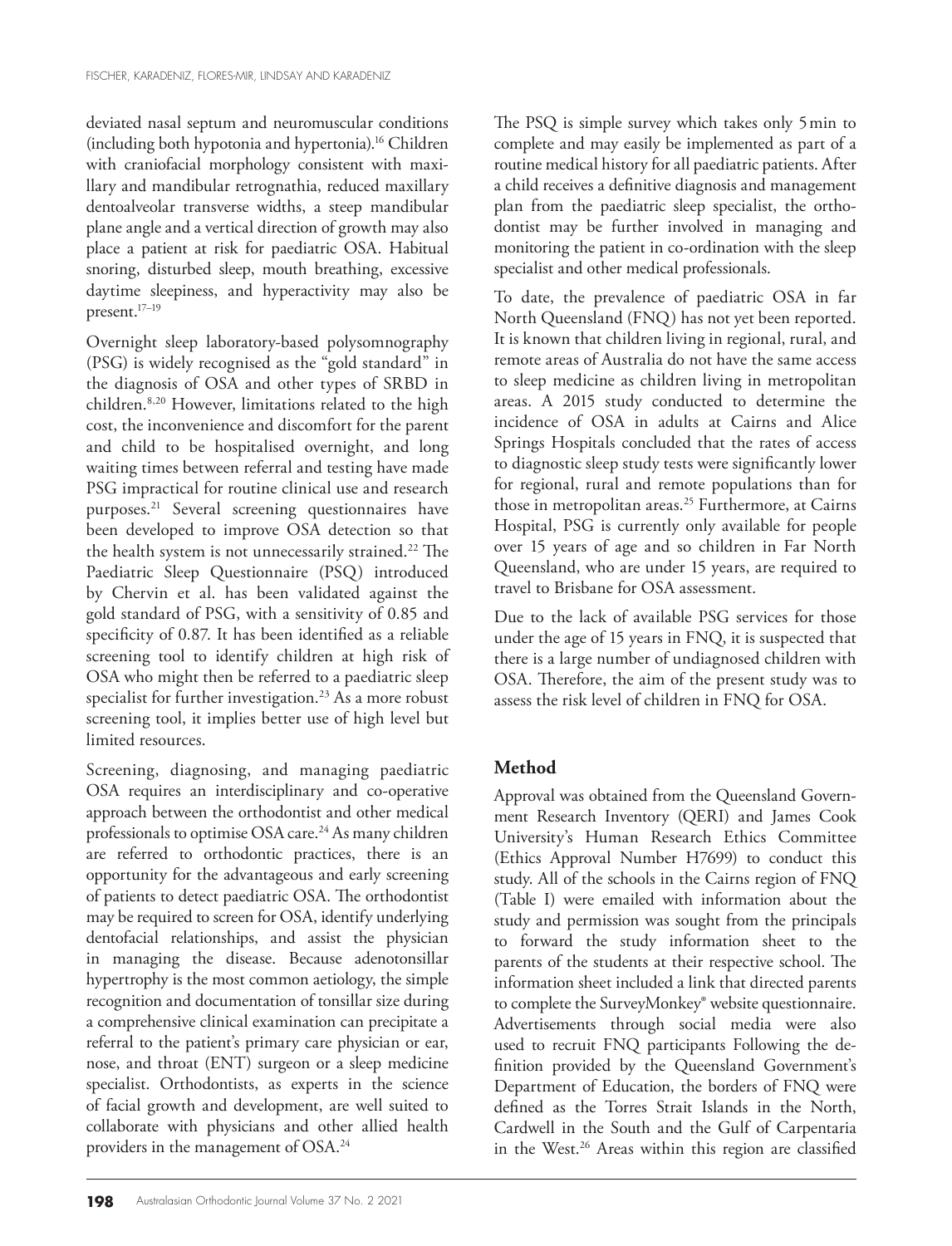deviated nasal septum and neuromuscular conditions (including both hypotonia and hypertonia).16 Children with craniofacial morphology consistent with maxillary and mandibular retrognathia, reduced maxillary dentoalveolar transverse widths, a steep mandibular plane angle and a vertical direction of growth may also place a patient at risk for paediatric OSA. Habitual snoring, disturbed sleep, mouth breathing, excessive daytime sleepiness, and hyperactivity may also be present.17–19

Overnight sleep laboratory-based polysomnography (PSG) is widely recognised as the "gold standard" in the diagnosis of OSA and other types of SRBD in children.8,20 However, limitations related to the high cost, the inconvenience and discomfort for the parent and child to be hospitalised overnight, and long waiting times between referral and testing have made PSG impractical for routine clinical use and research purposes.21 Several screening questionnaires have been developed to improve OSA detection so that the health system is not unnecessarily strained.<sup>22</sup> The Paediatric Sleep Questionnaire (PSQ) introduced by Chervin et al. has been validated against the gold standard of PSG, with a sensitivity of 0.85 and specificity of 0.87. It has been identified as a reliable screening tool to identify children at high risk of OSA who might then be referred to a paediatric sleep specialist for further investigation.23 As a more robust screening tool, it implies better use of high level but limited resources.

Screening, diagnosing, and managing paediatric OSA requires an interdisciplinary and co-operative approach between the orthodontist and other medical professionals to optimise OSA care.<sup>24</sup> As many children are referred to orthodontic practices, there is an opportunity for the advantageous and early screening of patients to detect paediatric OSA. The orthodontist may be required to screen for OSA, identify underlying dentofacial relationships, and assist the physician in managing the disease. Because adenotonsillar hypertrophy is the most common aetiology, the simple recognition and documentation of tonsillar size during a comprehensive clinical examination can precipitate a referral to the patient's primary care physician or ear, nose, and throat (ENT) surgeon or a sleep medicine specialist. Orthodontists, as experts in the science of facial growth and development, are well suited to collaborate with physicians and other allied health providers in the management of OSA.24

The PSQ is simple survey which takes only 5min to complete and may easily be implemented as part of a routine medical history for all paediatric patients. After a child receives a definitive diagnosis and management plan from the paediatric sleep specialist, the orthodontist may be further involved in managing and monitoring the patient in co-ordination with the sleep specialist and other medical professionals.

To date, the prevalence of paediatric OSA in far North Queensland (FNQ) has not yet been reported. It is known that children living in regional, rural, and remote areas of Australia do not have the same access to sleep medicine as children living in metropolitan areas. A 2015 study conducted to determine the incidence of OSA in adults at Cairns and Alice Springs Hospitals concluded that the rates of access to diagnostic sleep study tests were significantly lower for regional, rural and remote populations than for those in metropolitan areas.<sup>25</sup> Furthermore, at Cairns Hospital, PSG is currently only available for people over 15 years of age and so children in Far North Queensland, who are under 15 years, are required to travel to Brisbane for OSA assessment.

Due to the lack of available PSG services for those under the age of 15 years in FNQ, it is suspected that there is a large number of undiagnosed children with OSA. Therefore, the aim of the present study was to assess the risk level of children in FNQ for OSA.

# **Method**

Approval was obtained from the Queensland Government Research Inventory (QERI) and James Cook University's Human Research Ethics Committee (Ethics Approval Number H7699) to conduct this study. All of the schools in the Cairns region of FNQ (Table I) were emailed with information about the study and permission was sought from the principals to forward the study information sheet to the parents of the students at their respective school. The information sheet included a link that directed parents to complete the SurveyMonkey® website questionnaire. Advertisements through social media were also used to recruit FNQ participants Following the definition provided by the Queensland Government's Department of Education, the borders of FNQ were defined as the Torres Strait Islands in the North, Cardwell in the South and the Gulf of Carpentaria in the West.<sup>26</sup> Areas within this region are classified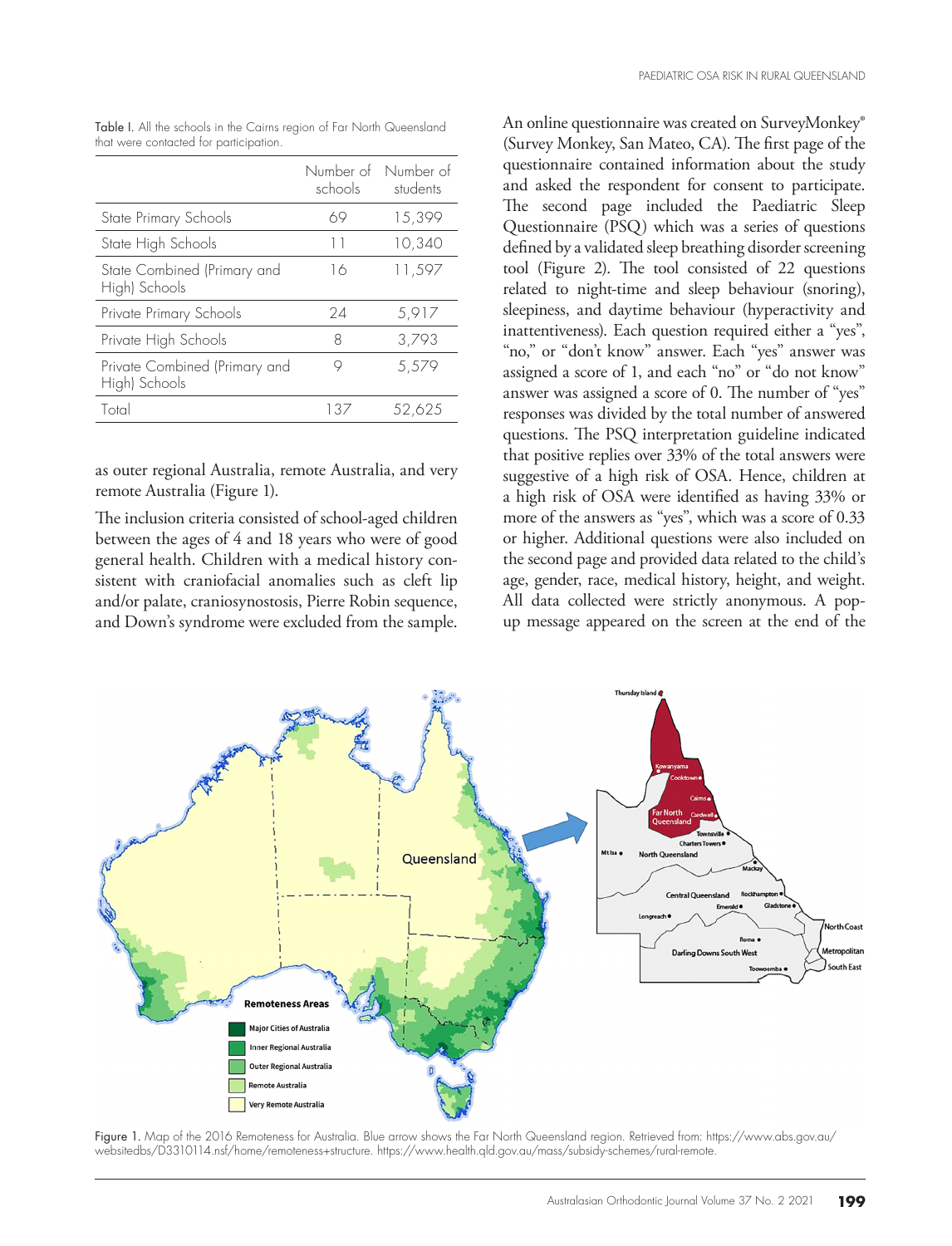|                                                | schools | Number of Number of<br>students |
|------------------------------------------------|---------|---------------------------------|
| State Primary Schools                          | 69      | 15,399                          |
| State High Schools                             | $\perp$ | 10,340                          |
| State Combined (Primary and<br>High) Schools   | 16      | 11,597                          |
| Private Primary Schools                        | 24      | 5,917                           |
| Private High Schools                           | 8       | 3,793                           |
| Private Combined (Primary and<br>High) Schools | 9       | 5,579                           |
| Total                                          | E37     | 52.625                          |

Table I. All the schools in the Cairns region of Far North Queensland that were contacted for participation.

as outer regional Australia, remote Australia, and very remote Australia (Figure 1).

The inclusion criteria consisted of school-aged children between the ages of 4 and 18 years who were of good general health. Children with a medical history consistent with craniofacial anomalies such as cleft lip and/or palate, craniosynostosis, Pierre Robin sequence, and Down's syndrome were excluded from the sample.

An online questionnaire was created on SurveyMonkey® (Survey Monkey, San Mateo, CA). The first page of the questionnaire contained information about the study and asked the respondent for consent to participate. The second page included the Paediatric Sleep Questionnaire (PSQ) which was a series of questions defined by a validated sleep breathing disorder screening tool (Figure 2). The tool consisted of 22 questions related to night-time and sleep behaviour (snoring), sleepiness, and daytime behaviour (hyperactivity and inattentiveness). Each question required either a "yes", "no," or "don't know" answer. Each "yes" answer was assigned a score of 1, and each "no" or "do not know" answer was assigned a score of 0. The number of "yes" responses was divided by the total number of answered questions. The PSQ interpretation guideline indicated that positive replies over 33% of the total answers were suggestive of a high risk of OSA. Hence, children at a high risk of OSA were identified as having 33% or more of the answers as "yes", which was a score of 0.33 or higher. Additional questions were also included on the second page and provided data related to the child's age, gender, race, medical history, height, and weight. All data collected were strictly anonymous. A popup message appeared on the screen at the end of the



Figure 1. Map of the 2016 Remoteness for Australia. Blue arrow shows the Far North Queensland region. Retrieved from: https://www.abs.gov.au/ websitedbs/D3310114.nsf/home/remoteness+structure. https://www.health.qld.gov.au/mass/subsidy-schemes/rural-remote.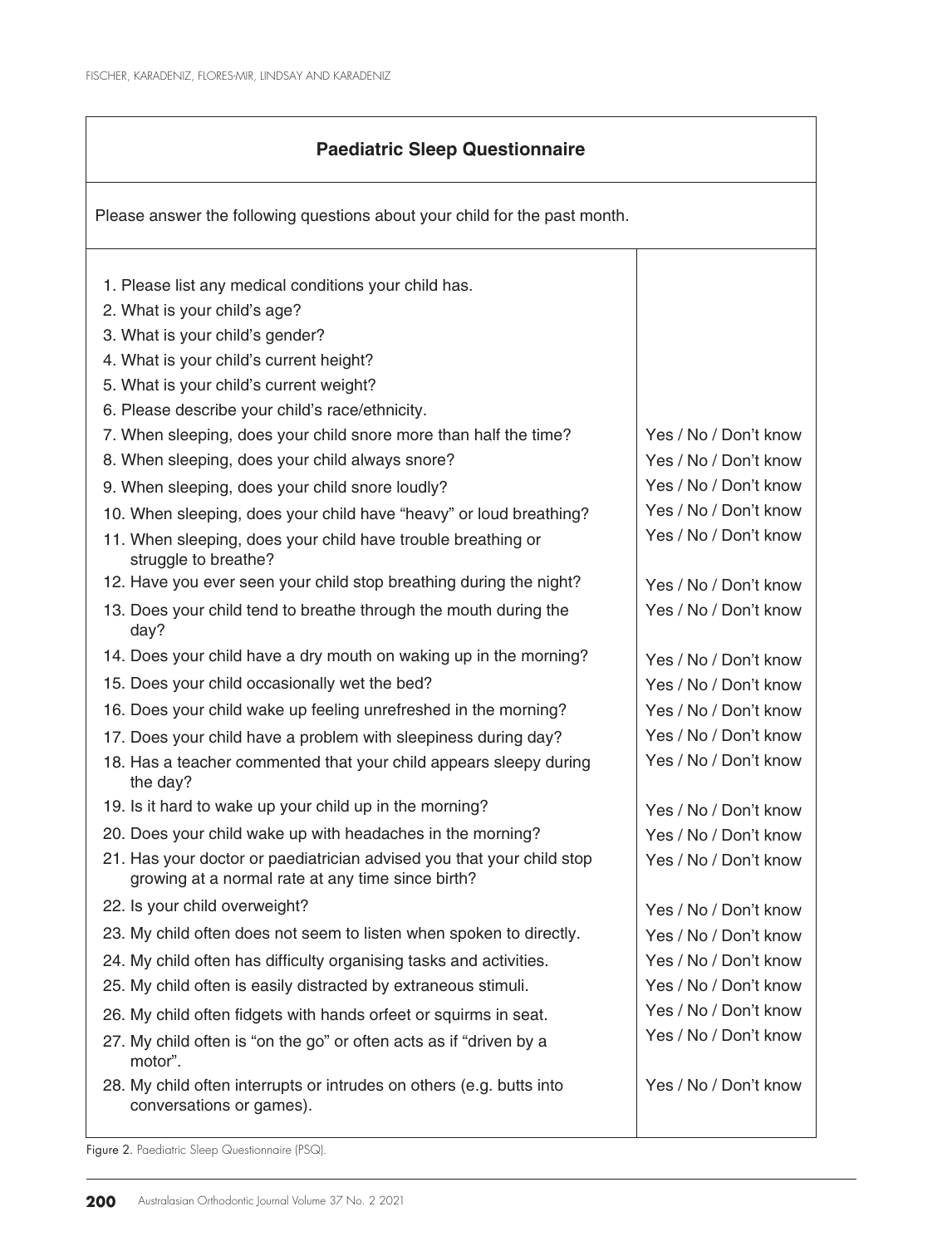## **Paediatric Sleep Questionnaire**

Please answer the following questions about your child for the past month. 1. Please list any medical conditions your child has. 2. What is your child's age? 3. What is your child's gender? 4. What is your child's current height? 5. What is your child's current weight? 6. Please describe your child's race/ethnicity. 7. When sleeping, does your child snore more than half the time? 8. When sleeping, does your child always snore? 9. When sleeping, does your child snore loudly? 10. When sleeping, does your child have "heavy" or loud breathing? 11. When sleeping, does your child have trouble breathing or struggle to breathe? 12. Have you ever seen your child stop breathing during the night? 13. Does your child tend to breathe through the mouth during the day? 14. Does your child have a dry mouth on waking up in the morning? 15. Does your child occasionally wet the bed? 16. Does your child wake up feeling unrefreshed in the morning? 17. Does your child have a problem with sleepiness during day? 18. Has a teacher commented that your child appears sleepy during the day? 19. Is it hard to wake up your child up in the morning? 20. Does your child wake up with headaches in the morning? 21. Has your doctor or paediatrician advised you that your child stop growing at a normal rate at any time since birth? 22. Is your child overweight? 23. My child often does not seem to listen when spoken to directly. 24. My child often has difficulty organising tasks and activities. 25. My child often is easily distracted by extraneous stimuli. 26. My child often fidgets with hands orfeet or squirms in seat. 27. My child often is "on the go" or often acts as if "driven by a motor". 28. My child often interrupts or intrudes on others (e.g. butts into conversations or games). Yes / No / Don't know Yes / No / Don't know Yes / No / Don't know Yes / No / Don't know Yes / No / Don't know Yes / No / Don't know Yes / No / Don't know Yes / No / Don't know Yes / No / Don't know Yes / No / Don't know Yes / No / Don't know Yes / No / Don't know Yes / No / Don't know Yes / No / Don't know Yes / No / Don't know Yes / No / Don't know Yes / No / Don't know Yes / No / Don't know Yes / No / Don't know Yes / No / Don't know Yes / No / Don't know Yes / No / Don't know

Figure 2. Paediatric Sleep Questionnaire (PSQ).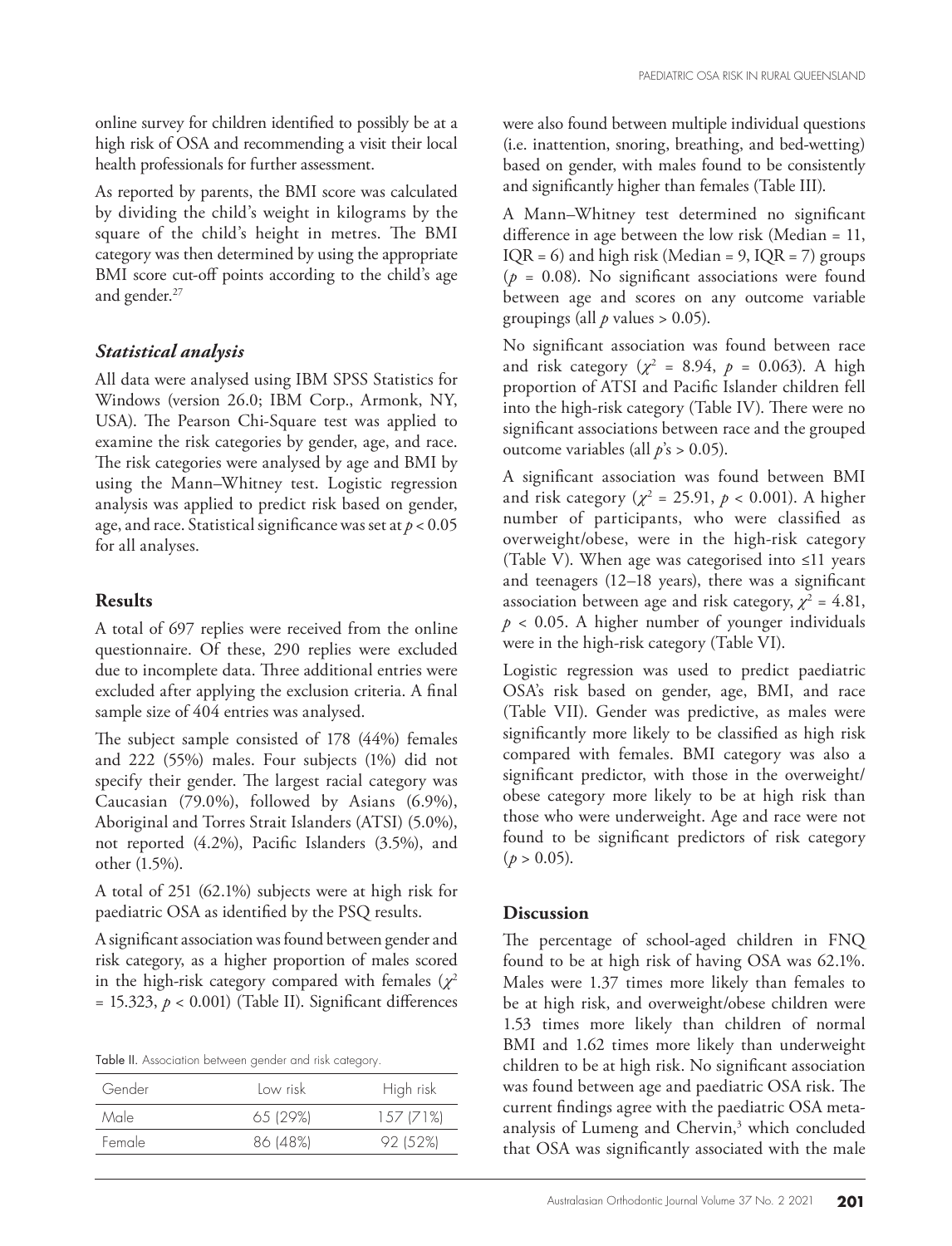online survey for children identified to possibly be at a high risk of OSA and recommending a visit their local health professionals for further assessment.

As reported by parents, the BMI score was calculated by dividing the child's weight in kilograms by the square of the child's height in metres. The BMI category was then determined by using the appropriate BMI score cut-off points according to the child's age and gender.<sup>27</sup>

#### *Statistical analysis*

All data were analysed using IBM SPSS Statistics for Windows (version 26.0; IBM Corp., Armonk, NY, USA). The Pearson Chi-Square test was applied to examine the risk categories by gender, age, and race. The risk categories were analysed by age and BMI by using the Mann–Whitney test. Logistic regression analysis was applied to predict risk based on gender, age, and race. Statistical significance was set at *p* < 0.05 for all analyses.

#### **Results**

A total of 697 replies were received from the online questionnaire. Of these, 290 replies were excluded due to incomplete data. Three additional entries were excluded after applying the exclusion criteria. A final sample size of 404 entries was analysed.

The subject sample consisted of 178 (44%) females and 222 (55%) males. Four subjects (1%) did not specify their gender. The largest racial category was Caucasian (79.0%), followed by Asians (6.9%), Aboriginal and Torres Strait Islanders (ATSI) (5.0%), not reported (4.2%), Pacific Islanders (3.5%), and other (1.5%).

A total of 251 (62.1%) subjects were at high risk for paediatric OSA as identified by the PSQ results.

A significant association was found between gender and risk category, as a higher proportion of males scored in the high-risk category compared with females  $(\chi^2)$  $= 15.323, p < 0.001$ ) (Table II). Significant differences

| Table II. Association between gender and risk category. |  |  |
|---------------------------------------------------------|--|--|
|---------------------------------------------------------|--|--|

| Gender | Low risk | High risk |
|--------|----------|-----------|
| Male   | 65129%   | 157(71%)  |
| Female | 86 (48%) | 92 (52%)  |
|        |          |           |

were also found between multiple individual questions (i.e. inattention, snoring, breathing, and bed-wetting) based on gender, with males found to be consistently and significantly higher than females (Table III).

A Mann–Whitney test determined no significant difference in age between the low risk (Median = 11,  $IQR = 6$ ) and high risk (Median = 9,  $IQR = 7$ ) groups  $(p = 0.08)$ . No significant associations were found between age and scores on any outcome variable groupings (all  $p$  values  $> 0.05$ ).

No significant association was found between race and risk category ( $\chi^2$  = 8.94,  $p$  = 0.063). A high proportion of ATSI and Pacific Islander children fell into the high-risk category (Table IV). There were no significant associations between race and the grouped outcome variables (all *p*'s > 0.05).

A significant association was found between BMI and risk category ( $\chi^2$  = 25.91,  $p < 0.001$ ). A higher number of participants, who were classified as overweight/obese, were in the high-risk category (Table V). When age was categorised into ≤11 years and teenagers (12–18 years), there was a significant association between age and risk category,  $\chi^2 = 4.81$ ,  $p < 0.05$ . A higher number of younger individuals were in the high-risk category (Table VI).

Logistic regression was used to predict paediatric OSA's risk based on gender, age, BMI, and race (Table VII). Gender was predictive, as males were significantly more likely to be classified as high risk compared with females. BMI category was also a significant predictor, with those in the overweight/ obese category more likely to be at high risk than those who were underweight. Age and race were not found to be significant predictors of risk category  $(p > 0.05)$ .

#### **Discussion**

The percentage of school-aged children in FNQ found to be at high risk of having OSA was 62.1%. Males were 1.37 times more likely than females to be at high risk, and overweight/obese children were 1.53 times more likely than children of normal BMI and 1.62 times more likely than underweight children to be at high risk. No significant association was found between age and paediatric OSA risk. The current findings agree with the paediatric OSA metaanalysis of Lumeng and Chervin,<sup>3</sup> which concluded that OSA was significantly associated with the male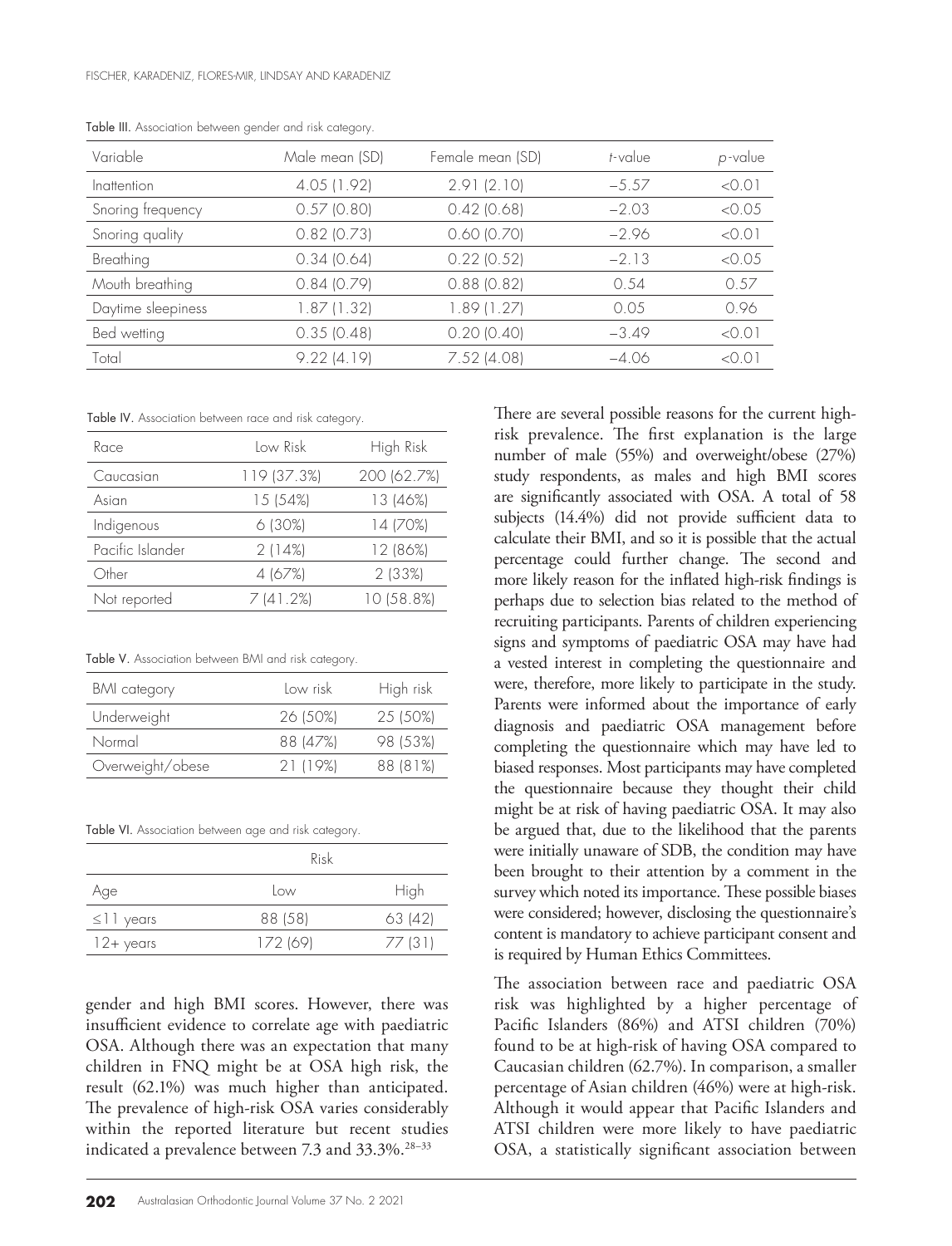| Variable           | Male mean (SD) | Female mean (SD) | t-value | p-value |
|--------------------|----------------|------------------|---------|---------|
| Inattention        | 4.05 (1.92)    | 2.91(2.10)       | $-5.57$ | < 0.01  |
| Snoring frequency  | $0.57$ (0.80)  | $0.42$ (0.68)    | $-2.03$ | < 0.05  |
| Snoring quality    | $0.82$ (0.73)  | $0.60$ $(0.70)$  | $-2.96$ | < 0.01  |
| Breathing          | 0.34(0.64)     | $0.22$ (0.52)    | $-2.13$ | < 0.05  |
| Mouth breathing    | 0.84(0.79)     | $0.88$ (0.82)    | 0.54    | 0.57    |
| Daytime sleepiness | 1.87(1.32)     | 1.89(1.27)       | 0.05    | 0.96    |
| Bed wetting        | 0.35(0.48)     | $0.20$ $(0.40)$  | $-3.49$ | < 0.01  |
| Total              | 9.22(4.19)     | $7.52$ (4.08)    | $-4.06$ | < 0.01  |

Table III. Association between gender and risk category.

Table IV. Association between race and risk category.

| Race             | Low Risk    | High Risk   |
|------------------|-------------|-------------|
| Caucasian        | 119 (37.3%) | 200 (62.7%) |
| Asian            | 15 (54%)    | 13 (46%)    |
| Indigenous       | 6(30%)      | 14 (70%)    |
| Pacific Islander | 2(14%)      | 12 (86%)    |
| Other            | 4 (67%)     | 2 (33%)     |
| Not reported     | 7 (41.2%)   | 10 (58.8%)  |

Table V. Association between BMI and risk category.

| <b>BMI</b> category | Low risk | High risk |
|---------------------|----------|-----------|
| Underweight         | 26 (50%) | 25 (50%)  |
| Normal              | 88 (47%) | 98 (53%)  |
| Overweight/obese    | 21 (19%) | 88 (81%)  |

Table VI. Association between age and risk category.

|                  | Risk     |         |  |
|------------------|----------|---------|--|
| Age              | Low      | High    |  |
| $\leq$     years | 88 (58)  | 63(42)  |  |
| 12+ years        | 172 (69) | 77 (31) |  |

gender and high BMI scores. However, there was insufficient evidence to correlate age with paediatric OSA. Although there was an expectation that many children in FNQ might be at OSA high risk, the result (62.1%) was much higher than anticipated. The prevalence of high-risk OSA varies considerably within the reported literature but recent studies indicated a prevalence between 7.3 and 33.3%.<sup>28-33</sup>

**202** Australasian Orthodontic Journal Volume 37 No. 2 2021

There are several possible reasons for the current highrisk prevalence. The first explanation is the large number of male (55%) and overweight/obese (27%) study respondents, as males and high BMI scores are significantly associated with OSA. A total of 58 subjects (14.4%) did not provide sufficient data to calculate their BMI, and so it is possible that the actual percentage could further change. The second and more likely reason for the inflated high-risk findings is perhaps due to selection bias related to the method of recruiting participants. Parents of children experiencing signs and symptoms of paediatric OSA may have had a vested interest in completing the questionnaire and were, therefore, more likely to participate in the study. Parents were informed about the importance of early diagnosis and paediatric OSA management before completing the questionnaire which may have led to biased responses. Most participants may have completed the questionnaire because they thought their child might be at risk of having paediatric OSA. It may also be argued that, due to the likelihood that the parents were initially unaware of SDB, the condition may have been brought to their attention by a comment in the survey which noted its importance. These possible biases were considered; however, disclosing the questionnaire's content is mandatory to achieve participant consent and is required by Human Ethics Committees.

The association between race and paediatric OSA risk was highlighted by a higher percentage of Pacific Islanders (86%) and ATSI children (70%) found to be at high-risk of having OSA compared to Caucasian children (62.7%). In comparison, a smaller percentage of Asian children (46%) were at high-risk. Although it would appear that Pacific Islanders and ATSI children were more likely to have paediatric OSA, a statistically significant association between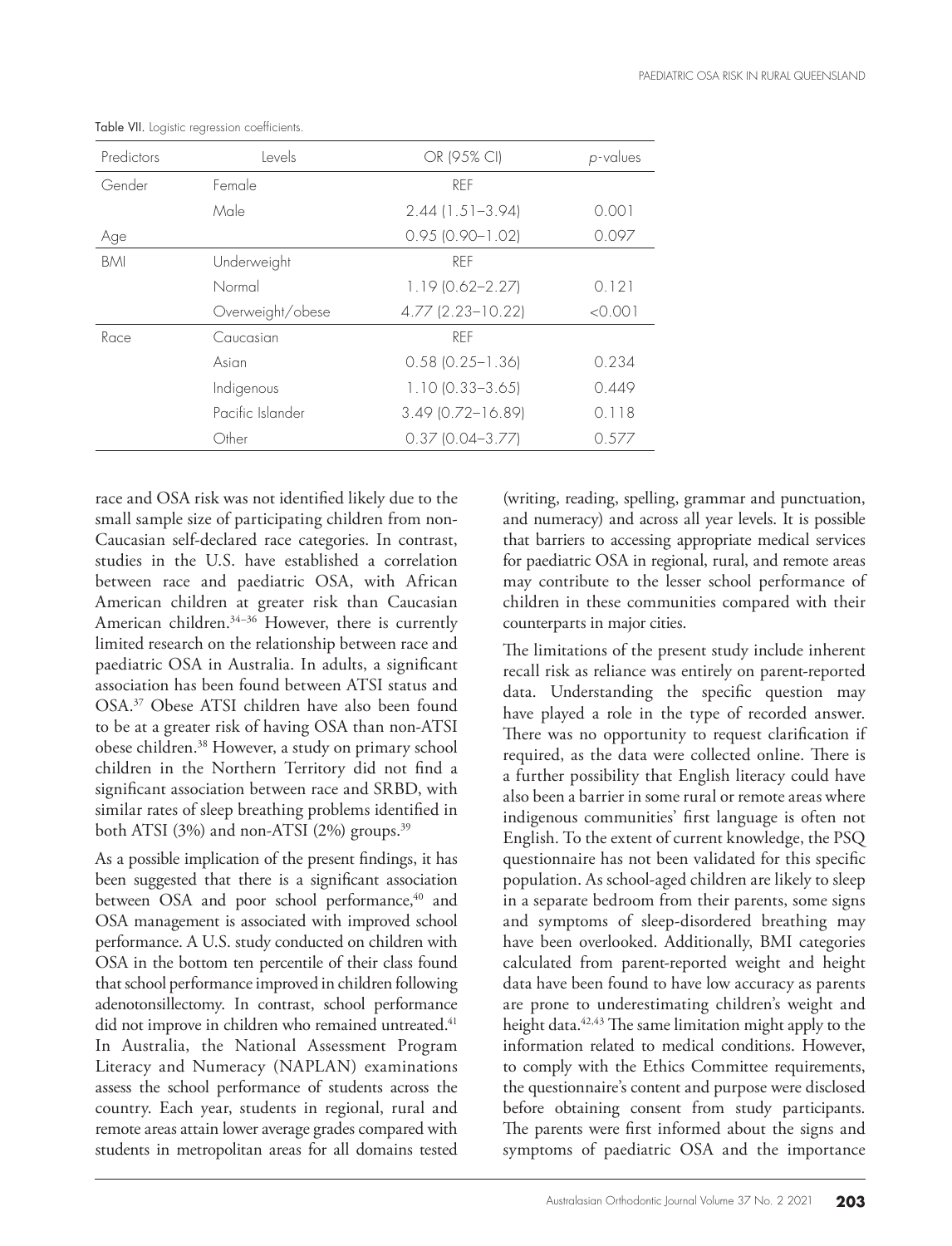| Predictors | Levels           | OR (95% CI)            | p-values |
|------------|------------------|------------------------|----------|
| Gender     | Female           | RFF                    |          |
|            | Male             | $2.44$ (1.51-3.94)     | 0.001    |
| Age        |                  | $0.95$ $(0.90 - 1.02)$ | 0.097    |
| <b>BMI</b> | Underweight      | RFF                    |          |
|            | Normal           | $1.19(0.62 - 2.27)$    | 0.121    |
|            | Overweight/obese | 4.77 (2.23-10.22)      | < 0.001  |
| Race       | Caucasian        | RFF                    |          |
|            | Asian            | $0.58$ $(0.25 - 1.36)$ | 0.234    |
|            | Indigenous       | $1.10(0.33 - 3.65)$    | 0.449    |
|            | Pacific Islander | $3.49$ (0.72-16.89)    | 0.118    |
|            | Other            | $0.3710.04 - 3.771$    | 0.577    |

Table VII. Logistic regression coefficients.

race and OSA risk was not identified likely due to the small sample size of participating children from non-Caucasian self-declared race categories. In contrast, studies in the U.S. have established a correlation between race and paediatric OSA, with African American children at greater risk than Caucasian American children.<sup>34-36</sup> However, there is currently limited research on the relationship between race and paediatric OSA in Australia. In adults, a significant association has been found between ATSI status and OSA.37 Obese ATSI children have also been found to be at a greater risk of having OSA than non-ATSI obese children.38 However, a study on primary school children in the Northern Territory did not find a significant association between race and SRBD, with similar rates of sleep breathing problems identified in both ATSI (3%) and non-ATSI (2%) groups.<sup>39</sup>

As a possible implication of the present findings, it has been suggested that there is a significant association between OSA and poor school performance,<sup>40</sup> and OSA management is associated with improved school performance. A U.S. study conducted on children with OSA in the bottom ten percentile of their class found that school performance improved in children following adenotonsillectomy. In contrast, school performance did not improve in children who remained untreated.<sup>41</sup> In Australia, the National Assessment Program Literacy and Numeracy (NAPLAN) examinations assess the school performance of students across the country. Each year, students in regional, rural and remote areas attain lower average grades compared with students in metropolitan areas for all domains tested

(writing, reading, spelling, grammar and punctuation, and numeracy) and across all year levels. It is possible that barriers to accessing appropriate medical services for paediatric OSA in regional, rural, and remote areas may contribute to the lesser school performance of children in these communities compared with their counterparts in major cities.

The limitations of the present study include inherent recall risk as reliance was entirely on parent-reported data. Understanding the specific question may have played a role in the type of recorded answer. There was no opportunity to request clarification if required, as the data were collected online. There is a further possibility that English literacy could have also been a barrier in some rural or remote areas where indigenous communities' first language is often not English. To the extent of current knowledge, the PSQ questionnaire has not been validated for this specific population. As school-aged children are likely to sleep in a separate bedroom from their parents, some signs and symptoms of sleep-disordered breathing may have been overlooked. Additionally, BMI categories calculated from parent-reported weight and height data have been found to have low accuracy as parents are prone to underestimating children's weight and height data.<sup>42,43</sup> The same limitation might apply to the information related to medical conditions. However, to comply with the Ethics Committee requirements, the questionnaire's content and purpose were disclosed before obtaining consent from study participants. The parents were first informed about the signs and symptoms of paediatric OSA and the importance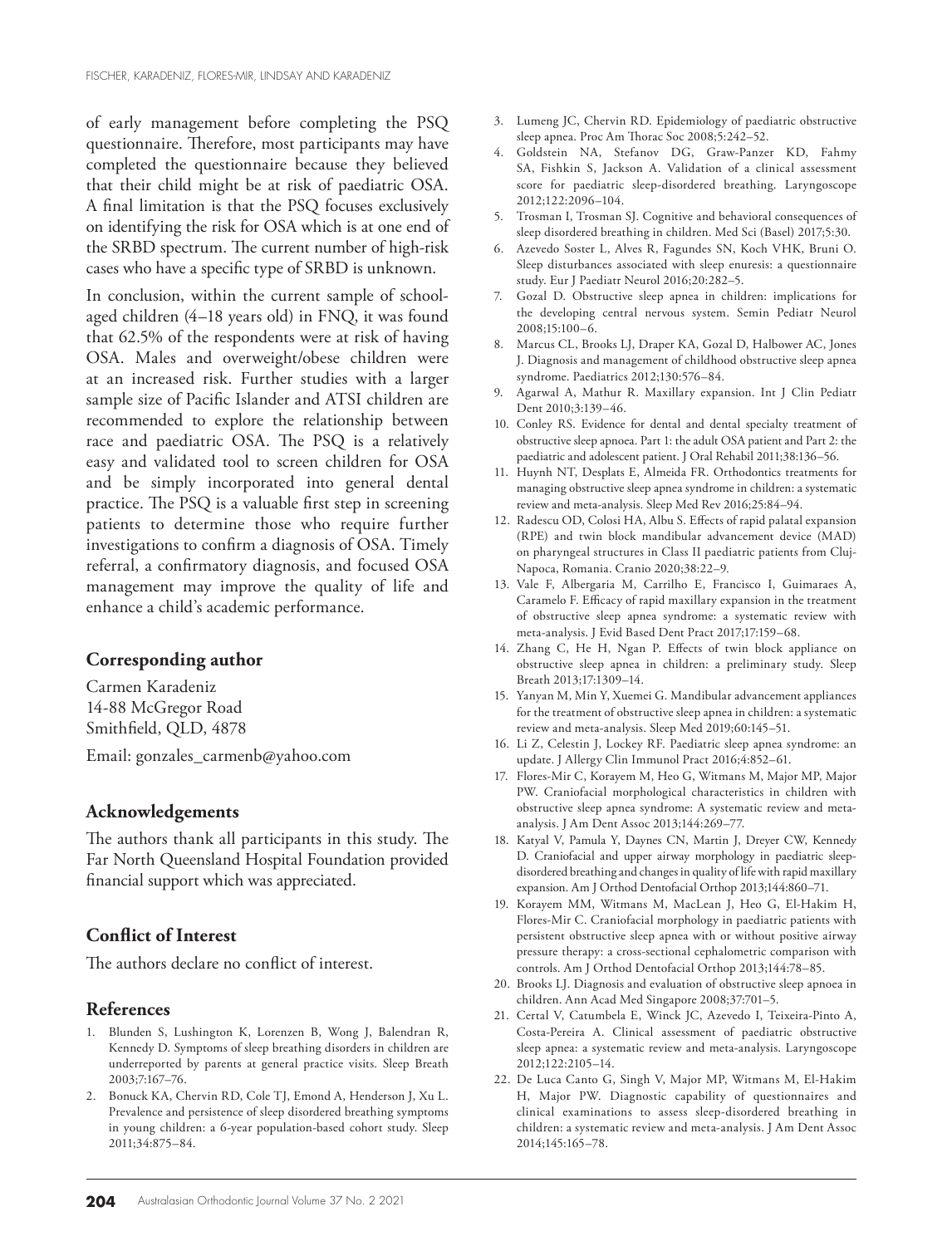of early management before completing the PSQ questionnaire. Therefore, most participants may have completed the questionnaire because they believed that their child might be at risk of paediatric OSA. A final limitation is that the PSQ focuses exclusively on identifying the risk for OSA which is at one end of the SRBD spectrum. The current number of high-risk cases who have a specific type of SRBD is unknown.

In conclusion, within the current sample of schoolaged children (4–18 years old) in FNQ, it was found that 62.5% of the respondents were at risk of having OSA. Males and overweight/obese children were at an increased risk. Further studies with a larger sample size of Pacific Islander and ATSI children are recommended to explore the relationship between race and paediatric OSA. The PSQ is a relatively easy and validated tool to screen children for OSA and be simply incorporated into general dental practice. The PSQ is a valuable first step in screening patients to determine those who require further investigations to confirm a diagnosis of OSA. Timely referral, a confirmatory diagnosis, and focused OSA management may improve the quality of life and enhance a child's academic performance.

#### **Corresponding author**

Carmen Karadeniz 14-88 McGregor Road Smithfield, QLD, 4878 Email: gonzales\_carmenb@yahoo.com

#### **Acknowledgements**

The authors thank all participants in this study. The Far North Queensland Hospital Foundation provided financial support which was appreciated.

#### **Conflict of Interest**

The authors declare no conflict of interest.

#### **References**

- 1. Blunden S, Lushington K, Lorenzen B, Wong J, Balendran R, Kennedy D. Symptoms of sleep breathing disorders in children are underreported by parents at general practice visits. Sleep Breath 2003;7:167–76.
- 2. Bonuck KA, Chervin RD, Cole TJ, Emond A, Henderson J, Xu L. Prevalence and persistence of sleep disordered breathing symptoms in young children: a 6-year population-based cohort study. Sleep 2011;34:875–84.
- 3. Lumeng JC, Chervin RD. Epidemiology of paediatric obstructive sleep apnea. Proc Am Thorac Soc 2008;5:242–52.
- 4. Goldstein NA, Stefanov DG, Graw-Panzer KD, Fahmy SA, Fishkin S, Jackson A. Validation of a clinical assessment score for paediatric sleep-disordered breathing. Laryngoscope 2012;122:2096–104.
- 5. Trosman I, Trosman SJ. Cognitive and behavioral consequences of sleep disordered breathing in children. Med Sci (Basel) 2017;5:30.
- 6. Azevedo Soster L, Alves R, Fagundes SN, Koch VHK, Bruni O. Sleep disturbances associated with sleep enuresis: a questionnaire study. Eur J Paediatr Neurol 2016;20:282–5.
- 7. Gozal D. Obstructive sleep apnea in children: implications for the developing central nervous system. Semin Pediatr Neurol 2008;15:100–6.
- 8. Marcus CL, Brooks LJ, Draper KA, Gozal D, Halbower AC, Jones J. Diagnosis and management of childhood obstructive sleep apnea syndrome. Paediatrics 2012;130:576–84.
- 9. Agarwal A, Mathur R. Maxillary expansion. Int J Clin Pediatr Dent 2010;3:139–46.
- 10. Conley RS. Evidence for dental and dental specialty treatment of obstructive sleep apnoea. Part 1: the adult OSA patient and Part 2: the paediatric and adolescent patient. J Oral Rehabil 2011;38:136–56.
- 11. Huynh NT, Desplats E, Almeida FR. Orthodontics treatments for managing obstructive sleep apnea syndrome in children: a systematic review and meta-analysis. Sleep Med Rev 2016;25:84–94.
- 12. Radescu OD, Colosi HA, Albu S. Effects of rapid palatal expansion (RPE) and twin block mandibular advancement device (MAD) on pharyngeal structures in Class II paediatric patients from Cluj-Napoca, Romania. Cranio 2020;38:22–9.
- 13. Vale F, Albergaria M, Carrilho E, Francisco I, Guimaraes A, Caramelo F. Efficacy of rapid maxillary expansion in the treatment of obstructive sleep apnea syndrome: a systematic review with meta-analysis. J Evid Based Dent Pract 2017;17:159–68.
- 14. Zhang C, He H, Ngan P. Effects of twin block appliance on obstructive sleep apnea in children: a preliminary study. Sleep Breath 2013;17:1309–14.
- 15. Yanyan M, Min Y, Xuemei G. Mandibular advancement appliances for the treatment of obstructive sleep apnea in children: a systematic review and meta-analysis. Sleep Med 2019;60:145–51.
- 16. Li Z, Celestin J, Lockey RF. Paediatric sleep apnea syndrome: an update. J Allergy Clin Immunol Pract 2016;4:852–61.
- 17. Flores-Mir C, Korayem M, Heo G, Witmans M, Major MP, Major PW. Craniofacial morphological characteristics in children with obstructive sleep apnea syndrome: A systematic review and metaanalysis. J Am Dent Assoc 2013;144:269–77.
- 18. Katyal V, Pamula Y, Daynes CN, Martin J, Dreyer CW, Kennedy D. Craniofacial and upper airway morphology in paediatric sleepdisordered breathing and changes in quality of life with rapid maxillary expansion. Am J Orthod Dentofacial Orthop 2013;144:860–71.
- 19. Korayem MM, Witmans M, MacLean J, Heo G, El-Hakim H, Flores-Mir C. Craniofacial morphology in paediatric patients with persistent obstructive sleep apnea with or without positive airway pressure therapy: a cross-sectional cephalometric comparison with controls. Am J Orthod Dentofacial Orthop 2013;144:78–85.
- 20. Brooks LJ. Diagnosis and evaluation of obstructive sleep apnoea in children. Ann Acad Med Singapore 2008;37:701–5.
- 21. Certal V, Catumbela E, Winck JC, Azevedo I, Teixeira-Pinto A, Costa-Pereira A. Clinical assessment of paediatric obstructive sleep apnea: a systematic review and meta-analysis. Laryngoscope 2012;122:2105–14.
- 22. De Luca Canto G, Singh V, Major MP, Witmans M, El-Hakim H, Major PW. Diagnostic capability of questionnaires and clinical examinations to assess sleep-disordered breathing in children: a systematic review and meta-analysis. J Am Dent Assoc 2014;145:165–78.